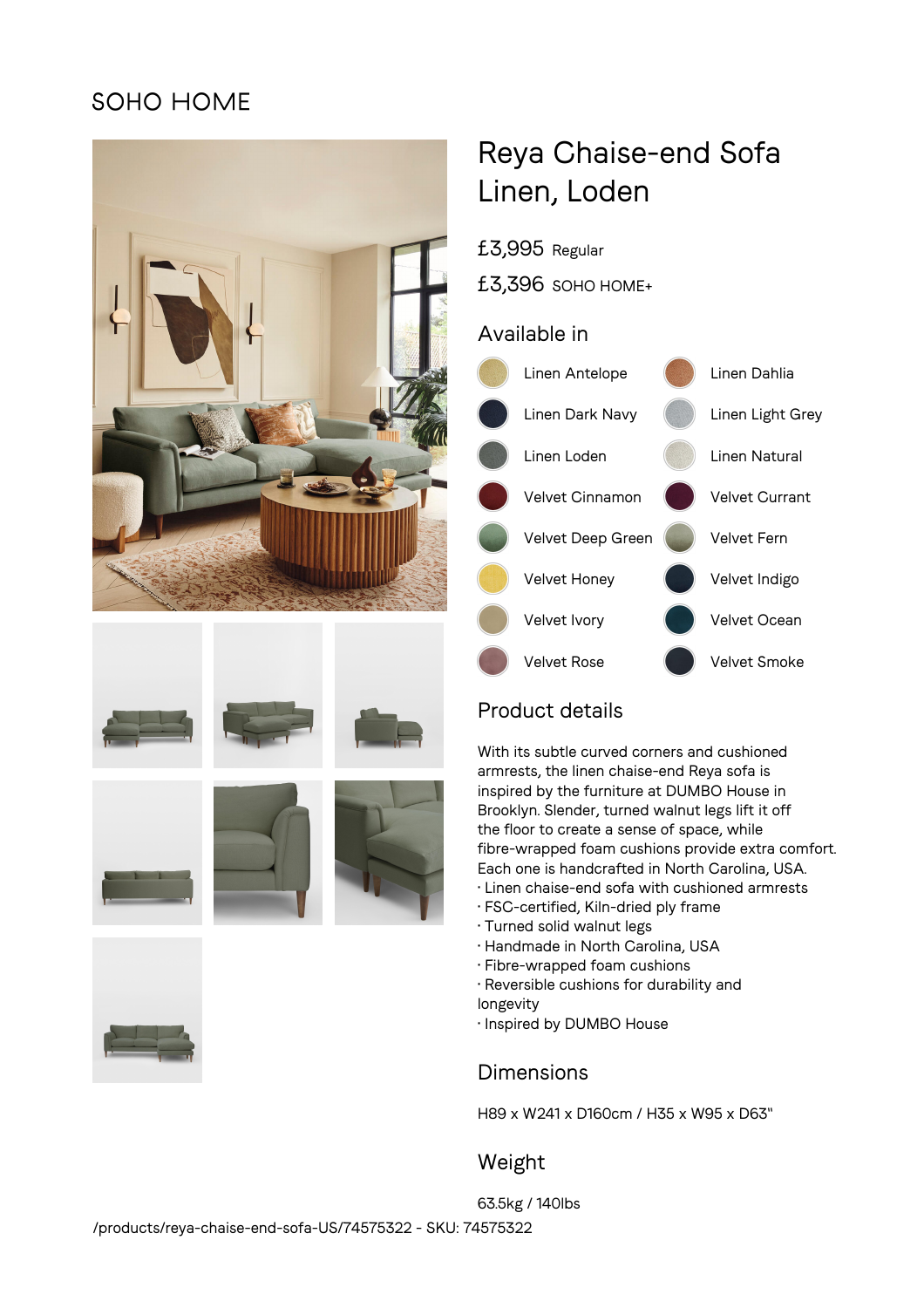## SOHO HOME











# Reya Chaise-end Sofa Linen, Loden

£3,995 Regular

£3,396 SOHO HOME+

### Available in



## Product details

With its subtle curved corners and cushioned armrests, the linen chaise-end Reya sofa is inspired by the furniture at DUMBO House in Brooklyn. Slender, turned walnut legs lift it off the floor to create a sense of space, while fibre-wrapped foam cushions provide extra comfort. Each one is handcrafted in North Carolina, USA.

- Linen chaise-end sofa with cushioned armrests
- FSC-certified, Kiln-dried ply frame
- Turned solid walnut legs
- Handmade in North Carolina, USA
- Fibre-wrapped foam cushions
- Reversible cushions for durability and
- longevity
- Inspired by DUMBO House

## Dimensions

H89 x W241 x D160cm / H35 x W95 x D63"

## Weight

63.5kg / 140lbs /products/reya-chaise-end-sofa-US/74575322 - SKU: 74575322